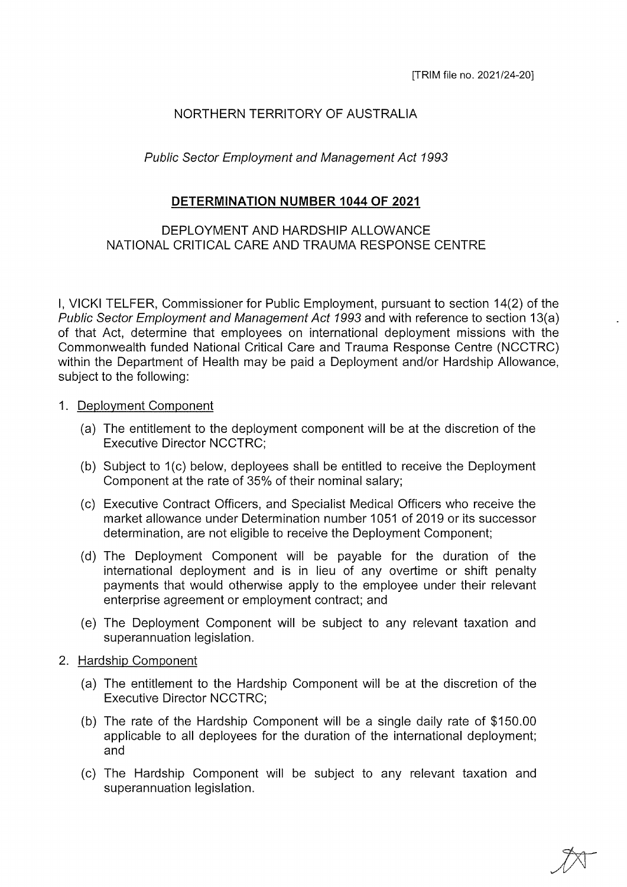# NORTHERN TERRITORY OF AUSTRALIA

### Public Sector Employment and Management Act 1993

### DETERMINATION NUMBER 1044 OF 2021

## DEPLOYMENT AND HARDSHIP ALLOWANCE NATIONAL CRITICAL CARE AND TRAUMA RESPONSE CENTRE

I, VICKI TELFER, Commissioner for Public Employment, pursuant to section 14(2) of the Public Sector Employment and Management Act 7993 and with reference to section 13(a) of that Act, determine that employees on international deployment missions with the Commonwealth funded National Critical Care and Trauma Response Centre (NGCTRC) within the Department of Health may be paid a Deployment and/or Hardship Allowance, subject to the following:

#### 1. Deployment Component

- (a) The entitlement to the deployment component will be at the discretion of the Executive Director NGCTRC;
- (b) Subject to  $1(c)$  below, deployees shall be entitled to receive the Deployment Component at the rate of 35% of their nominal salary;
- (c) Executive Contract Officers, and Specialist Medical Officers who receive the market allowance under Determination number 1051 of 2019 or its successor determination, are not eligible to receive the Deployment Component;
- (d) The Deployment Component will be payable for the duration of the international deployment and is in lieu of any overtime or shift penalty payments that would otherwise apply to the employee under their relevant enterprise agreement or employment contract; and
- (e) The Deployment Component will be subject to any relevant taxation and superannuation legislation.

#### 2. Hardship Component

- (a) The entitlement to the Hardship Component will be at the discretion of the Executive Director NGCTRC;
- (b) The rate of the Hardship Component will be a single daily rate of \$150.00 applicable to all deployees for the duration of the international deployment; and
- (c) The Hardship Component will be subject to any relevant taxation and superannuation legislation.

 $\frac{1}{2}$